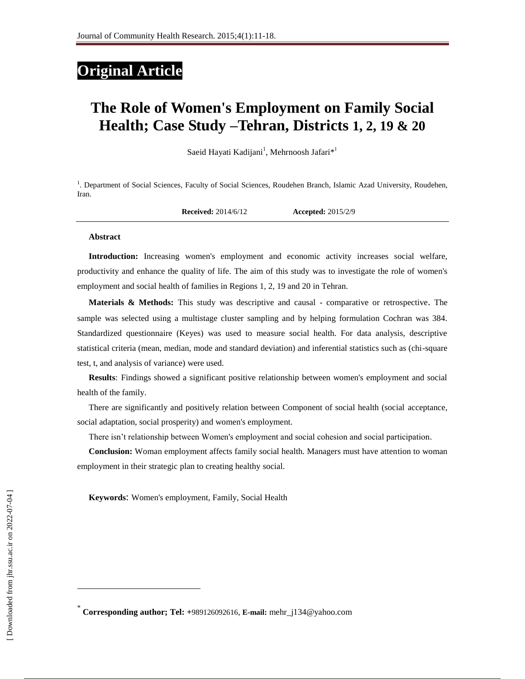# **Original Article**

# **The Role of Women's Employment on Family Social Health; Case Study –Tehran, Districts 1, 2, 19 & 20**

Saeid Hayati Kadijani<sup>1</sup>, Mehrnoosh Jafari\*<sup>1</sup>

<sup>1</sup>. Department of Social Sciences, Faculty of Social Sciences, Roudehen Branch, Islamic Azad University, Roudehen, Iran.

**Received:** 2014/6/12 **Accepted:** 2015/2/9

#### **Abstract**

**Introduction:** Increasing women's employment and economic activity increases social welfare, productivity and enhance the quality of life. The aim of this study was to investigate the role of women's employment and social health of families in Regions 1, 2, 19 and 20 in Tehran.

**Materials & Methods:** This study was descriptive and causal - comparative or retrospective. The sample was selected using a multistage cluster sampling and by helping formulation Cochran was 384. Standardized questionnaire (Keyes) was used to measure social health. For data analysis, descriptive statistical criteria (mean, median, mode and standard deviation) and inferential statistics such as (chi-square test, t, and analysis of variance) were used.

**Results**: Findings showed a significant positive relationship between women's employment and social health of the family.

There are significantly and positively relation between Component of social health (social acceptance, social adaptation, social prosperity) and women's employment.

There isn't relationship between Women's employment and social cohesion and social participation.

**Conclusion:** Woman employment affects family social health. Managers must have attention to woman employment in their strategic plan to creating healthy social.

**Keywords**: Women's employment, Family, Social Health

 $\overline{a}$ 

<sup>\*</sup> **Corresponding author; Tel: +**989126092616, **E-mail:** mehr\_j134@yahoo.com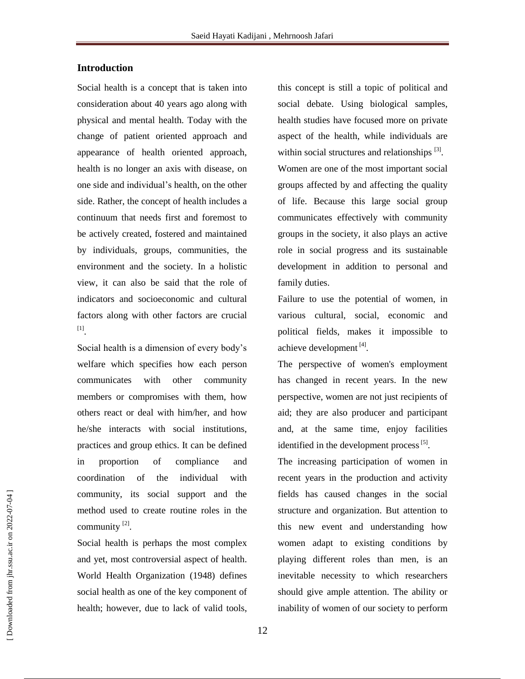# **Introduction**

Social health is a concept that is taken into consideration about 40 years ago along with physical and mental health. Today with the change of patient oriented approach and appearance of health oriented approach, health is no longer an axis with disease, on one side and individual's health, on the other side. Rather, the concept of health includes a continuum that needs first and foremost to be actively created, fostered and maintained by individuals, groups, communities, the environment and the society. In a holistic view, it can also be said that the role of indicators and socioeconomic and cultural factors along with other factors are crucial [1] .

Social health is a dimension of every body's welfare which specifies how each person communicates with other community members or compromises with them, how others react or deal with him/her, and how he/she interacts with social institutions, practices and group ethics. It can be defined in proportion of compliance and coordination of the individual with community, its social support and the method used to create routine roles in the community  $[2]$ .

Social health is perhaps the most complex and yet, most controversial aspect of health. World Health Organization (1948) defines social health as one of the key component of health; however, due to lack of valid tools,

this concept is still a topic of political and social debate. Using biological samples, health studies have focused more on private aspect of the health, while individuals are within social structures and relationships [3]. Women are one of the most important social groups affected by and affecting the quality of life. Because this large social group communicates effectively with community groups in the society, it also plays an active role in social progress and its sustainable development in addition to personal and family duties.

Failure to use the potential of women, in various cultural, social, economic and political fields, makes it impossible to achieve development<sup>[4]</sup>.

The perspective of women's employment has changed in recent years. In the new perspective, women are not just recipients of aid; they are also producer and participant and, at the same time, enjoy facilities identified in the development process<sup>[5]</sup>.

The increasing participation of women in recent years in the production and activity fields has caused changes in the social structure and organization. But attention to this new event and understanding how women adapt to existing conditions by playing different roles than men, is an inevitable necessity to which researchers should give ample attention. The ability or inability of women of our society to perform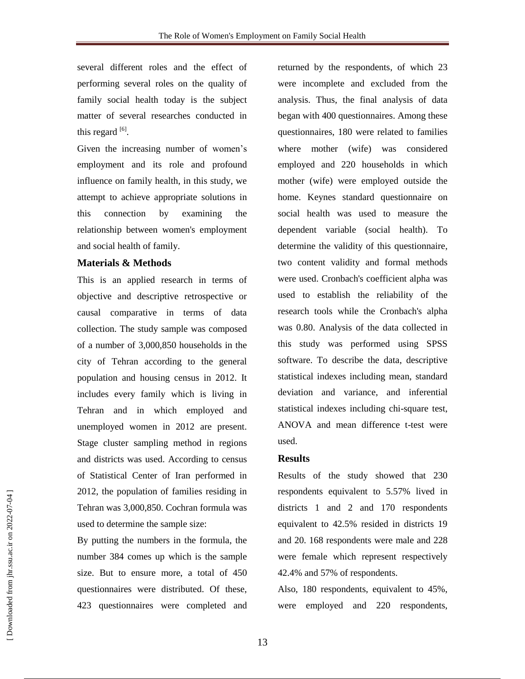several different roles and the effect of performing several roles on the quality of family social health today is the subject matter of several researches conducted in this regard  $^{[6]}$ .

Given the increasing number of women's employment and its role and profound influence on family health, in this study, we attempt to achieve appropriate solutions in this connection by examining the relationship between women's employment and social health of family.

#### **Materials & Methods**

This is an applied research in terms of objective and descriptive retrospective or causal comparative in terms of data collection. The study sample was composed of a number of 3,000,850 households in the city of Tehran according to the general population and housing census in 2012. It includes every family which is living in Tehran and in which employed and unemployed women in 2012 are present. Stage cluster sampling method in regions and districts was used. According to census of Statistical Center of Iran performed in 2012, the population of families residing in Tehran was 3,000,850. Cochran formula was used to determine the sample size:

By putting the numbers in the formula, the number 384 comes up which is the sample size. But to ensure more, a total of 450 questionnaires were distributed. Of these, 423 questionnaires were completed and returned by the respondents, of which 23 were incomplete and excluded from the analysis. Thus, the final analysis of data began with 400 questionnaires. Among these questionnaires, 180 were related to families where mother (wife) was considered employed and 220 households in which mother (wife) were employed outside the home. Keynes standard questionnaire on social health was used to measure the dependent variable (social health). To determine the validity of this questionnaire, two content validity and formal methods were used. Cronbach's coefficient alpha was used to establish the reliability of the research tools while the Cronbach's alpha was 0.80. Analysis of the data collected in this study was performed using SPSS software. To describe the data, descriptive statistical indexes including mean, standard deviation and variance, and inferential statistical indexes including chi-square test, ANOVA and mean difference t-test were used.

#### **Results**

Results of the study showed that 230 respondents equivalent to 5.57% lived in districts 1 and 2 and 170 respondents equivalent to 42.5% resided in districts 19 and 20. 168 respondents were male and 228 were female which represent respectively 42.4% and 57% of respondents.

Also, 180 respondents, equivalent to 45%, were employed and 220 respondents,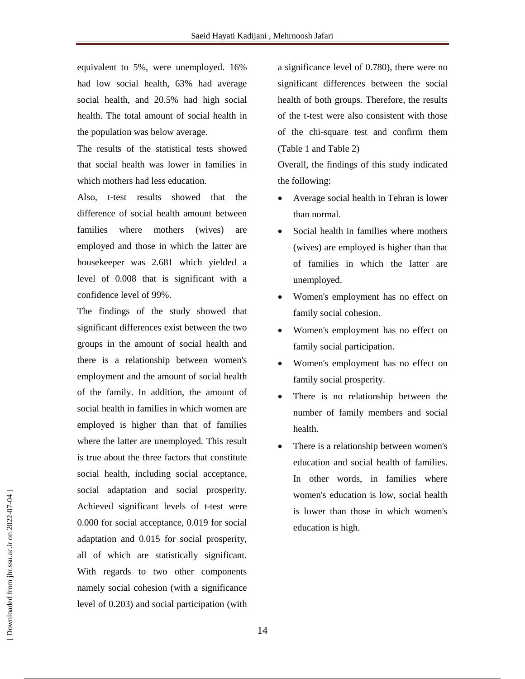equivalent to 5%, were unemployed. 16% had low social health, 63% had average social health, and 20.5% had high social health. The total amount of social health in the population was below average.

The results of the statistical tests showed that social health was lower in families in which mothers had less education.

Also, t-test results showed that the difference of social health amount between families where mothers (wives) are employed and those in which the latter are housekeeper was 2.681 which yielded a level of 0.008 that is significant with a confidence level of 99%.

The findings of the study showed that significant differences exist between the two groups in the amount of social health and there is a relationship between women's employment and the amount of social health of the family. In addition, the amount of social health in families in which women are employed is higher than that of families where the latter are unemployed. This result is true about the three factors that constitute social health, including social acceptance, social adaptation and social prosperity. Achieved significant levels of t-test were 0.000 for social acceptance, 0.019 for social adaptation and 0.015 for social prosperity, all of which are statistically significant. With regards to two other components namely social cohesion (with a significance level of 0.203) and social participation (with

a significance level of 0.780), there were no significant differences between the social health of both groups. Therefore, the results of the t-test were also consistent with those of the chi-square test and confirm them (Table 1 and Table 2)

Overall, the findings of this study indicated the following:

- Average social health in Tehran is lower than normal.
- Social health in families where mothers (wives) are employed is higher than that of families in which the latter are unemployed.
- Women's employment has no effect on family social cohesion.
- Women's employment has no effect on family social participation.
- Women's employment has no effect on family social prosperity.
- There is no relationship between the number of family members and social health.
- There is a relationship between women's education and social health of families. In other words, in families where women's education is low, social health is lower than those in which women's education is high.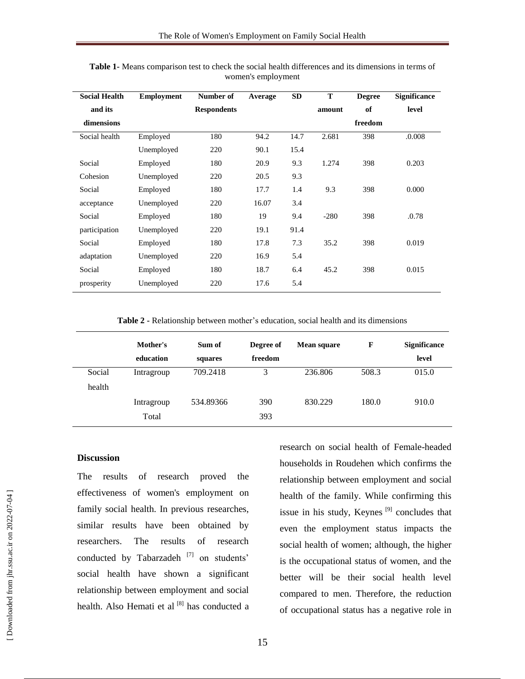| <b>Social Health</b> | <b>Employment</b> | Number of          | Average | <b>SD</b> | T      | <b>Degree</b> | <b>Significance</b> |
|----------------------|-------------------|--------------------|---------|-----------|--------|---------------|---------------------|
| and its              |                   | <b>Respondents</b> |         |           | amount | of            | level               |
| dimensions           |                   |                    |         |           |        | freedom       |                     |
| Social health        | Employed          | 180                | 94.2    | 14.7      | 2.681  | 398           | .0.008              |
|                      | Unemployed        | 220                | 90.1    | 15.4      |        |               |                     |
| Social               | Employed          | 180                | 20.9    | 9.3       | 1.274  | 398           | 0.203               |
| Cohesion             | Unemployed        | 220                | 20.5    | 9.3       |        |               |                     |
| Social               | Employed          | 180                | 17.7    | 1.4       | 9.3    | 398           | 0.000               |
| acceptance           | Unemployed        | 220                | 16.07   | 3.4       |        |               |                     |
| Social               | Employed          | 180                | 19      | 9.4       | $-280$ | 398           | .0.78               |
| participation        | Unemployed        | 220                | 19.1    | 91.4      |        |               |                     |
| Social               | Employed          | 180                | 17.8    | 7.3       | 35.2   | 398           | 0.019               |
| adaptation           | Unemployed        | 220                | 16.9    | 5.4       |        |               |                     |
| Social               | Employed          | 180                | 18.7    | 6.4       | 45.2   | 398           | 0.015               |
| prosperity           | Unemployed        | 220                | 17.6    | 5.4       |        |               |                     |

**Table 1-** Means comparison test to check the social health differences and its dimensions in terms of women's employment

**Table 2 -** Relationship between mother's education, social health and its dimensions

|        | Mother's<br>education | Sum of<br>squares | Degree of<br>freedom | <b>Mean square</b> | F     | <b>Significance</b><br>level |
|--------|-----------------------|-------------------|----------------------|--------------------|-------|------------------------------|
| Social | Intragroup            | 709.2418          | 3                    | 236.806            | 508.3 | 015.0                        |
| health |                       |                   |                      |                    |       |                              |
|        | Intragroup            | 534.89366         | 390                  | 830.229            | 180.0 | 910.0                        |
|        | Total                 |                   | 393                  |                    |       |                              |

### **Discussion**

The results of research proved the effectiveness of women's employment on family social health. In previous researches, similar results have been obtained by researchers. The results of research conducted by Tabarzadeh [7] on students' social health have shown a significant relationship between employment and social health. Also Hemati et al <a>[8]</a> has conducted a research on social health of Female-headed households in Roudehen which confirms the relationship between employment and social health of the family. While confirming this issue in his study, Keynes  $[9]$  concludes that even the employment status impacts the social health of women; although, the higher is the occupational status of women, and the better will be their social health level compared to men. Therefore, the reduction of occupational status has a negative role in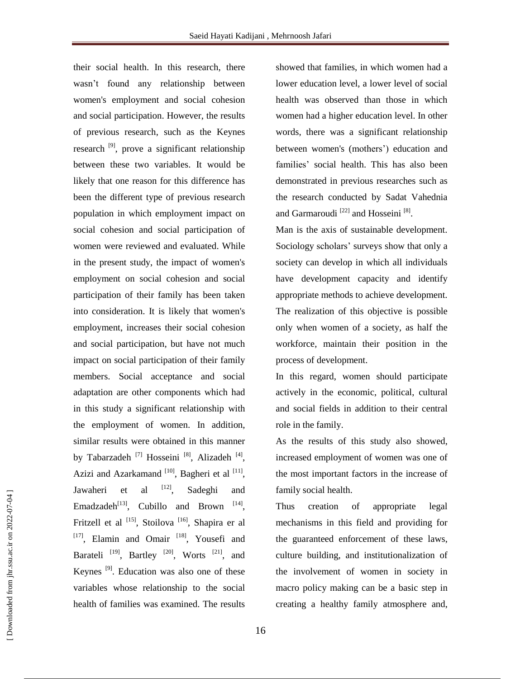their social health. In this research, there wasn't found any relationship between women's employment and social cohesion and social participation. However, the results of previous research, such as the Keynes research <sup>[9]</sup>, prove a significant relationship between these two variables. It would be likely that one reason for this difference has been the different type of previous research population in which employment impact on social cohesion and social participation of women were reviewed and evaluated. While in the present study, the impact of women's employment on social cohesion and social participation of their family has been taken into consideration. It is likely that women's employment, increases their social cohesion and social participation, but have not much impact on social participation of their family members. Social acceptance and social adaptation are other components which had in this study a significant relationship with the employment of women. In addition, similar results were obtained in this manner by Tabarzadeh<sup>[7]</sup> Hosseini<sup>[8]</sup>, Alizadeh<sup>[4]</sup>, Azizi and Azarkamand  $[10]$ , Bagheri et al  $[11]$ , Jawaheri et al  $[12]$ , Sadeghi and Emadzadeh<sup>[13]</sup>, Cubillo and Brown  $[14]$ , Fritzell et al <sup>[15]</sup>, Stoilova <sup>[16]</sup>, Shapira er al [17], Elamin and Omair<sup>[18]</sup>, Yousefi and Barateli<sup>[19]</sup>, Bartley<sup>[20]</sup>, Worts<sup>[21]</sup>, and Keynes  $^{[9]}$ . Education was also one of these variables whose relationship to the social health of families was examined. The results

showed that families, in which women had a lower education level, a lower level of social health was observed than those in which women had a higher education level. In other words, there was a significant relationship between women's (mothers') education and families' social health. This has also been demonstrated in previous researches such as the research conducted by Sadat Vahednia and Garmaroudi<sup>[22]</sup> and Hosseini<sup>[8]</sup>.

Man is the axis of sustainable development. Sociology scholars' surveys show that only a society can develop in which all individuals have development capacity and identify appropriate methods to achieve development. The realization of this objective is possible only when women of a society, as half the workforce, maintain their position in the process of development.

In this regard, women should participate actively in the economic, political, cultural and social fields in addition to their central role in the family.

As the results of this study also showed, increased employment of women was one of the most important factors in the increase of family social health.

Thus creation of appropriate legal mechanisms in this field and providing for the guaranteed enforcement of these laws, culture building, and institutionalization of the involvement of women in society in macro policy making can be a basic step in creating a healthy family atmosphere and,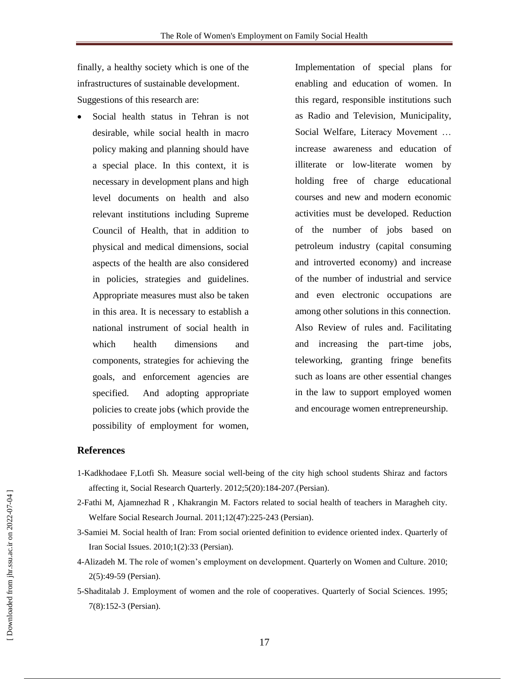finally, a healthy society which is one of the infrastructures of sustainable development. Suggestions of this research are:

 Social health status in Tehran is not desirable, while social health in macro policy making and planning should have a special place. In this context, it is necessary in development plans and high level documents on health and also relevant institutions including Supreme Council of Health, that in addition to physical and medical dimensions, social aspects of the health are also considered in policies, strategies and guidelines. Appropriate measures must also be taken in this area. It is necessary to establish a national instrument of social health in which health dimensions and components, strategies for achieving the goals, and enforcement agencies are specified. And adopting appropriate policies to create jobs (which provide the possibility of employment for women,

Implementation of special plans for enabling and education of women. In this regard, responsible institutions such as Radio and Television, Municipality, Social Welfare, Literacy Movement … increase awareness and education of illiterate or low-literate women by holding free of charge educational courses and new and modern economic activities must be developed. Reduction of the number of jobs based on petroleum industry (capital consuming and introverted economy) and increase of the number of industrial and service and even electronic occupations are among other solutions in this connection. Also Review of rules and. Facilitating and increasing the part-time jobs, teleworking, granting fringe benefits such as loans are other essential changes in the law to support employed women and encourage women entrepreneurship.

## **References**

- 1-Kadkhodaee F,Lotfi Sh. Measure social well-being of the city high school students Shiraz and factors affecting it, Social Research Quarterly. 2012;5(20):184-207.(Persian).
- 2-Fathi M, Ajamnezhad R , Khakrangin M. Factors related to social health of teachers in Maragheh city. Welfare Social Research Journal. 2011;12(47):225-243 (Persian).
- 3-Samiei M. Social health of Iran: From social oriented definition to evidence oriented index. Quarterly of Iran Social Issues. 2010;1(2):33 (Persian).
- 4-Alizadeh M. The role of women's employment on development. Quarterly on Women and Culture. 2010; 2(5):49-59 (Persian).
- 5-Shaditalab J. Employment of women and the role of cooperatives. Quarterly of Social Sciences. 1995; 7(8):152-3 (Persian).